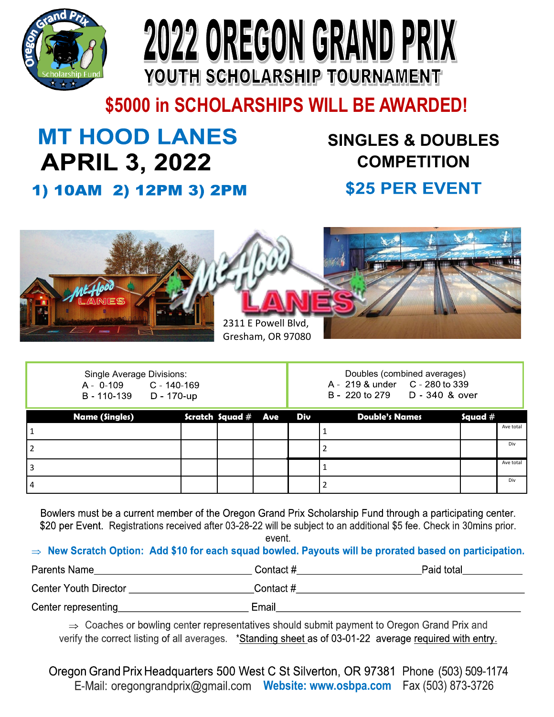



**\$5000 in SCHOLARSHIPS WILL BE AWARDED!**

# **MT HOOD LANES APRIL 3, 2022**

### **SINGLES & DOUBLES COMPETITION**

### \$25 PER EVENT



| Single Average Divisions: |                 |  |  |  |
|---------------------------|-----------------|--|--|--|
| A - 0-109                 | $C - 140 - 169$ |  |  |  |
| B - 110-139               | D - 170-up      |  |  |  |

Doubles (combined averages)<br>A - 219 & under C - 280 to 339

B - 220 to 279 D - 340 & over

| <b>Name (Singles)</b> |  |  | Scratch Squad $\#$ Ave Div             Double's Names               Squad $\#$ |           |
|-----------------------|--|--|--------------------------------------------------------------------------------|-----------|
|                       |  |  |                                                                                | Ave total |
|                       |  |  |                                                                                | Div       |
| 3                     |  |  |                                                                                | Ave total |
| 4                     |  |  |                                                                                | Div       |

Bowlers must be a current member of the Oregon Grand Prix Scholarship Fund through a participating center. \$20 per Event. Registrations received after 03-28-22 will be subject to an additional \$5 fee. Check in 30mins prior.

event.

#### New Scratch Option: Add \$10 for each squad bowled. Payouts will be prorated based on participation.

| Parents Name          | Contact #  | Paid total |
|-----------------------|------------|------------|
| Center Youth Director | Contact #_ |            |
| Cantar ranrasanting   | Email      |            |

 $\Rightarrow$  Coaches or bowling center representatives should submit payment to Oregon Grand Prix and verify the correct listing of all averages. \*Standing sheet as of 03-01-22 average required with entry.

Oregon Grand Prix Headquarters 500 West C St Silverton, OR 97381 Phone (503) 509-1174 **Website: [www.osbpa.com](http://www.osbpa.com/)** Fax (503) 873-3726